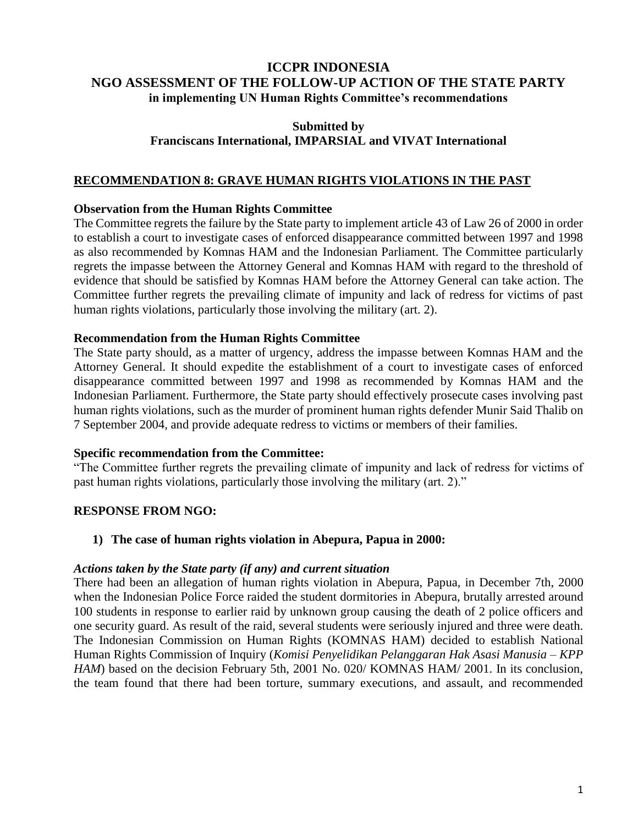# **ICCPR INDONESIA NGO ASSESSMENT OF THE FOLLOW-UP ACTION OF THE STATE PARTY in implementing UN Human Rights Committee's recommendations**

## **Submitted by Franciscans International, IMPARSIAL and VIVAT International**

# **RECOMMENDATION 8: GRAVE HUMAN RIGHTS VIOLATIONS IN THE PAST**

## **Observation from the Human Rights Committee**

The Committee regrets the failure by the State party to implement article 43 of Law 26 of 2000 in order to establish a court to investigate cases of enforced disappearance committed between 1997 and 1998 as also recommended by Komnas HAM and the Indonesian Parliament. The Committee particularly regrets the impasse between the Attorney General and Komnas HAM with regard to the threshold of evidence that should be satisfied by Komnas HAM before the Attorney General can take action. The Committee further regrets the prevailing climate of impunity and lack of redress for victims of past human rights violations, particularly those involving the military (art. 2).

## **Recommendation from the Human Rights Committee**

The State party should, as a matter of urgency, address the impasse between Komnas HAM and the Attorney General. It should expedite the establishment of a court to investigate cases of enforced disappearance committed between 1997 and 1998 as recommended by Komnas HAM and the Indonesian Parliament. Furthermore, the State party should effectively prosecute cases involving past human rights violations, such as the murder of prominent human rights defender Munir Said Thalib on 7 September 2004, and provide adequate redress to victims or members of their families.

#### **Specific recommendation from the Committee:**

"The Committee further regrets the prevailing climate of impunity and lack of redress for victims of past human rights violations, particularly those involving the military (art. 2)."

## **RESPONSE FROM NGO:**

## **1) The case of human rights violation in Abepura, Papua in 2000:**

#### *Actions taken by the State party (if any) and current situation*

There had been an allegation of human rights violation in Abepura, Papua, in December 7th, 2000 when the Indonesian Police Force raided the student dormitories in Abepura, brutally arrested around 100 students in response to earlier raid by unknown group causing the death of 2 police officers and one security guard. As result of the raid, several students were seriously injured and three were death. The Indonesian Commission on Human Rights (KOMNAS HAM) decided to establish National Human Rights Commission of Inquiry (*Komisi Penyelidikan Pelanggaran Hak Asasi Manusia – KPP HAM*) based on the decision February 5th, 2001 No. 020/ KOMNAS HAM/ 2001. In its conclusion, the team found that there had been torture, summary executions, and assault, and recommended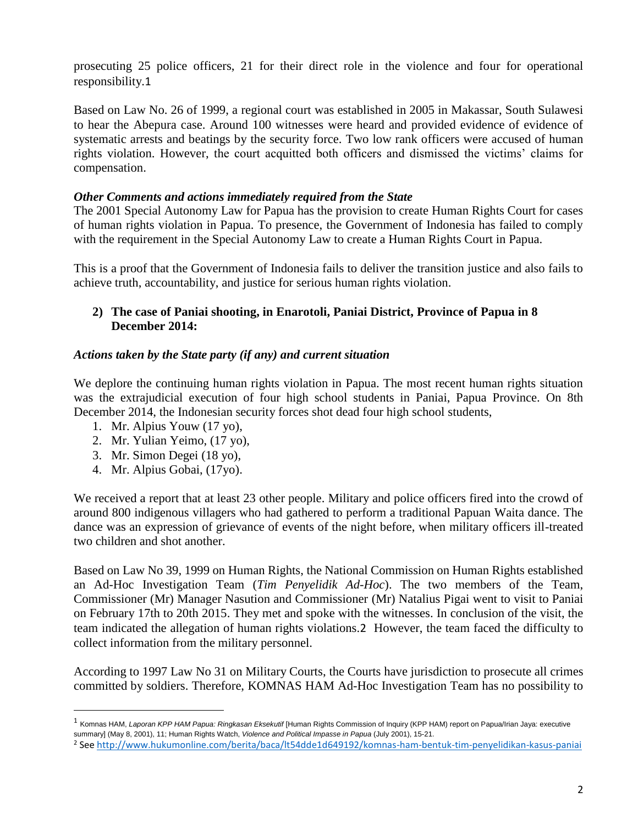prosecuting 25 police officers, 21 for their direct role in the violence and four for operational responsibility.1

Based on Law No. 26 of 1999, a regional court was established in 2005 in Makassar, South Sulawesi to hear the Abepura case. Around 100 witnesses were heard and provided evidence of evidence of systematic arrests and beatings by the security force. Two low rank officers were accused of human rights violation. However, the court acquitted both officers and dismissed the victims' claims for compensation.

## *Other Comments and actions immediately required from the State*

The 2001 Special Autonomy Law for Papua has the provision to create Human Rights Court for cases of human rights violation in Papua. To presence, the Government of Indonesia has failed to comply with the requirement in the Special Autonomy Law to create a Human Rights Court in Papua.

This is a proof that the Government of Indonesia fails to deliver the transition justice and also fails to achieve truth, accountability, and justice for serious human rights violation.

## **2) The case of Paniai shooting, in Enarotoli, Paniai District, Province of Papua in 8 December 2014:**

## *Actions taken by the State party (if any) and current situation*

We deplore the continuing human rights violation in Papua. The most recent human rights situation was the extrajudicial execution of four high school students in Paniai, Papua Province. On 8th December 2014, the Indonesian security forces shot dead four high school students,

- 1. Mr. Alpius Youw (17 yo),
- 2. Mr. Yulian Yeimo, (17 yo),
- 3. Mr. Simon Degei (18 yo),
- 4. Mr. Alpius Gobai, (17yo).

 $\overline{a}$ 

We received a report that at least 23 other people. Military and police officers fired into the crowd of around 800 indigenous villagers who had gathered to perform a traditional Papuan Waita dance. The dance was an expression of grievance of events of the night before, when military officers ill-treated two children and shot another.

Based on Law No 39, 1999 on Human Rights, the National Commission on Human Rights established an Ad-Hoc Investigation Team (*Tim Penyelidik Ad-Hoc*). The two members of the Team, Commissioner (Mr) Manager Nasution and Commissioner (Mr) Natalius Pigai went to visit to Paniai on February 17th to 20th 2015. They met and spoke with the witnesses. In conclusion of the visit, the team indicated the allegation of human rights violations.2 However, the team faced the difficulty to collect information from the military personnel.

According to 1997 Law No 31 on Military Courts, the Courts have jurisdiction to prosecute all crimes committed by soldiers. Therefore, KOMNAS HAM Ad-Hoc Investigation Team has no possibility to

<sup>&</sup>lt;sup>1</sup> Komnas HAM, *Laporan KPP HAM Papua: Ringkasan Eksekutif* [Human Rights Commission of Inquiry (KPP HAM) report on Papua/Irian Jaya: executive summary] (May 8, 2001), 11; Human Rights Watch, *Violence and Political Impasse in Papua* (July 2001), 15-21.

<sup>2</sup> See<http://www.hukumonline.com/berita/baca/lt54dde1d649192/komnas-ham-bentuk-tim-penyelidikan-kasus-paniai>